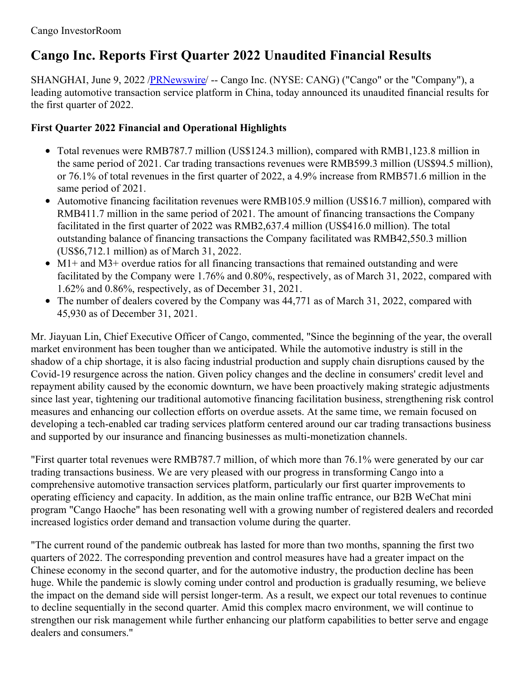# **Cango Inc. Reports First Quarter 2022 Unaudited Financial Results**

SHANGHAI, June 9, 2022 [/PRNewswire](http://www.prnewswire.com/)/ -- Cango Inc. (NYSE: CANG) ("Cango" or the "Company"), a leading automotive transaction service platform in China, today announced its unaudited financial results for the first quarter of 2022.

# **First Quarter 2022 Financial and Operational Highlights**

- Total revenues were RMB787.7 million (US\$124.3 million), compared with RMB1,123.8 million in the same period of 2021. Car trading transactions revenues were RMB599.3 million (US\$94.5 million), or 76.1% of total revenues in the first quarter of 2022, a 4.9% increase from RMB571.6 million in the same period of 2021.
- Automotive financing facilitation revenues were RMB105.9 million (US\$16.7 million), compared with RMB411.7 million in the same period of 2021. The amount of financing transactions the Company facilitated in the first quarter of 2022 was RMB2,637.4 million (US\$416.0 million). The total outstanding balance of financing transactions the Company facilitated was RMB42,550.3 million (US\$6,712.1 million) as of March 31, 2022.
- $\bullet$  M1+ and M3+ overdue ratios for all financing transactions that remained outstanding and were facilitated by the Company were 1.76% and 0.80%, respectively, as of March 31, 2022, compared with 1.62% and 0.86%, respectively, as of December 31, 2021.
- The number of dealers covered by the Company was 44,771 as of March 31, 2022, compared with 45,930 as of December 31, 2021.

Mr. Jiayuan Lin, Chief Executive Officer of Cango, commented, "Since the beginning of the year, the overall market environment has been tougher than we anticipated. While the automotive industry is still in the shadow of a chip shortage, it is also facing industrial production and supply chain disruptions caused by the Covid-19 resurgence across the nation. Given policy changes and the decline in consumers' credit level and repayment ability caused by the economic downturn, we have been proactively making strategic adjustments since last year, tightening our traditional automotive financing facilitation business, strengthening risk control measures and enhancing our collection efforts on overdue assets. At the same time, we remain focused on developing a tech-enabled car trading services platform centered around our car trading transactions business and supported by our insurance and financing businesses as multi-monetization channels.

"First quarter total revenues were RMB787.7 million, of which more than 76.1% were generated by our car trading transactions business. We are very pleased with our progress in transforming Cango into a comprehensive automotive transaction services platform, particularly our first quarter improvements to operating efficiency and capacity. In addition, as the main online traffic entrance, our B2B WeChat mini program "Cango Haoche" has been resonating well with a growing number of registered dealers and recorded increased logistics order demand and transaction volume during the quarter.

"The current round of the pandemic outbreak has lasted for more than two months, spanning the first two quarters of 2022. The corresponding prevention and control measures have had a greater impact on the Chinese economy in the second quarter, and for the automotive industry, the production decline has been huge. While the pandemic is slowly coming under control and production is gradually resuming, we believe the impact on the demand side will persist longer-term. As a result, we expect our total revenues to continue to decline sequentially in the second quarter. Amid this complex macro environment, we will continue to strengthen our risk management while further enhancing our platform capabilities to better serve and engage dealers and consumers."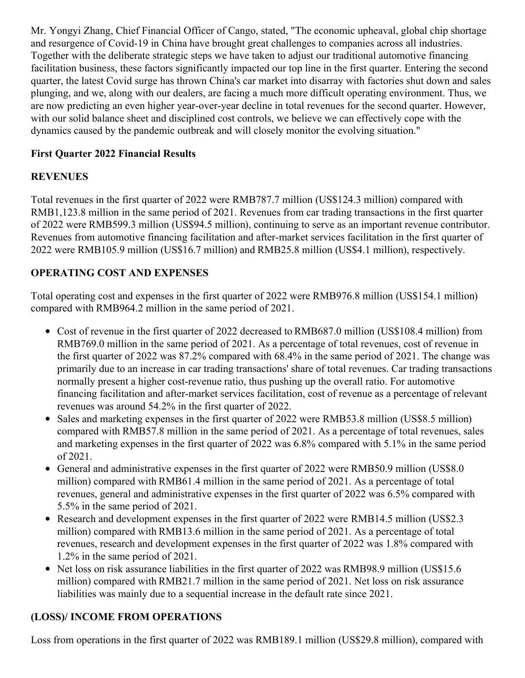Mr. Yongyi Zhang, Chief Financial Officer of Cango, stated, "The economic upheaval, global chip shortage and resurgence of Covid-19 in China have brought great challenges to companies across all industries. Together with the deliberate strategic steps we have taken to adjust our traditional automotive financing facilitation business, these factors significantly impacted our top line in the first quarter. Entering the second quarter, the latest Covid surge has thrown China's car market into disarray with factories shut down and sales plunging, and we, along with our dealers, are facing a much more difficult operating environment. Thus, we are now predicting an even higher year-over-year decline in total revenues for the second quarter. However, with our solid balance sheet and disciplined cost controls, we believe we can effectively cope with the dynamics caused by the pandemic outbreak and will closely monitor the evolving situation."

# **First Quarter 2022 Financial Results**

# **REVENUES**

Total revenues in the first quarter of 2022 were RMB787.7 million (US\$124.3 million) compared with RMB1,123.8 million in the same period of 2021. Revenues from car trading transactions in the first quarter of 2022 were RMB599.3 million (US\$94.5 million), continuing to serve as an important revenue contributor. Revenues from automotive financing facilitation and after-market services facilitation in the first quarter of 2022 were RMB105.9 million (US\$16.7 million) and RMB25.8 million (US\$4.1 million), respectively.

# **OPERATING COST AND EXPENSES**

Total operating cost and expenses in the first quarter of 2022 were RMB976.8 million (US\$154.1 million) compared with RMB964.2 million in the same period of 2021.

- Cost of revenue in the first quarter of 2022 decreased to RMB687.0 million (US\$108.4 million) from RMB769.0 million in the same period of 2021. As a percentage of total revenues, cost of revenue in the first quarter of 2022 was 87.2% compared with 68.4% in the same period of 2021. The change was primarily due to an increase in car trading transactions' share of total revenues. Car trading transactions normally present a higher cost-revenue ratio, thus pushing up the overall ratio. For automotive financing facilitation and after-market services facilitation, cost of revenue as a percentage of relevant revenues was around 54.2% in the first quarter of 2022.
- Sales and marketing expenses in the first quarter of 2022 were RMB53.8 million (US\$8.5 million) compared with RMB57.8 million in the same period of 2021. As a percentage of total revenues, sales and marketing expenses in the first quarter of 2022 was 6.8% compared with 5.1% in the same period of 2021.
- General and administrative expenses in the first quarter of 2022 were RMB50.9 million (US\$8.0 million) compared with RMB61.4 million in the same period of 2021. As a percentage of total revenues, general and administrative expenses in the first quarter of 2022 was 6.5% compared with 5.5% in the same period of 2021.
- Research and development expenses in the first quarter of 2022 were RMB14.5 million (US\$2.3) million) compared with RMB13.6 million in the same period of 2021. As a percentage of total revenues, research and development expenses in the first quarter of 2022 was 1.8% compared with 1.2% in the same period of 2021.
- Net loss on risk assurance liabilities in the first quarter of 2022 was RMB98.9 million (US\$15.6) million) compared with RMB21.7 million in the same period of 2021. Net loss on risk assurance liabilities was mainly due to a sequential increase in the default rate since 2021.

# **(LOSS)/ INCOME FROM OPERATIONS**

Loss from operations in the first quarter of 2022 was RMB189.1 million (US\$29.8 million), compared with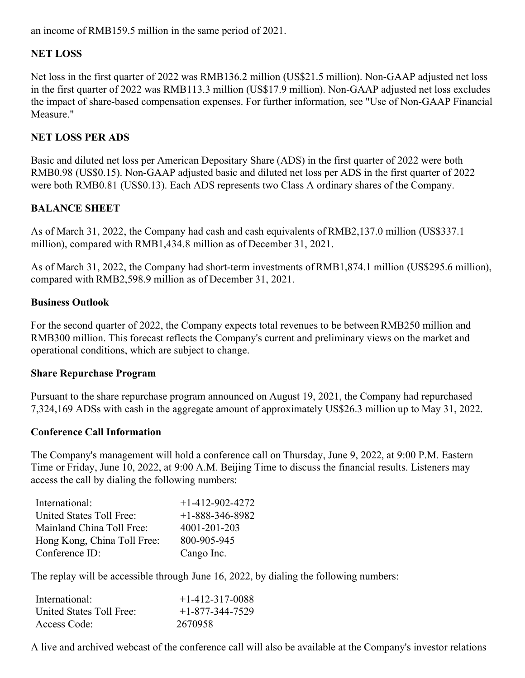an income of RMB159.5 million in the same period of 2021.

# **NET LOSS**

Net loss in the first quarter of 2022 was RMB136.2 million (US\$21.5 million). Non-GAAP adjusted net loss in the first quarter of 2022 was RMB113.3 million (US\$17.9 million). Non-GAAP adjusted net loss excludes the impact of share-based compensation expenses. For further information, see "Use of Non-GAAP Financial Measure."

#### **NET LOSS PER ADS**

Basic and diluted net loss per American Depositary Share (ADS) in the first quarter of 2022 were both RMB0.98 (US\$0.15). Non-GAAP adjusted basic and diluted net loss per ADS in the first quarter of 2022 were both RMB0.81 (US\$0.13). Each ADS represents two Class A ordinary shares of the Company.

#### **BALANCE SHEET**

As of March 31, 2022, the Company had cash and cash equivalents of RMB2,137.0 million (US\$337.1 million), compared with RMB1,434.8 million as of December 31, 2021.

As of March 31, 2022, the Company had short-term investments of RMB1,874.1 million (US\$295.6 million), compared with RMB2,598.9 million as of December 31, 2021.

#### **Business Outlook**

For the second quarter of 2022, the Company expects total revenues to be between RMB250 million and RMB300 million. This forecast reflects the Company's current and preliminary views on the market and operational conditions, which are subject to change.

#### **Share Repurchase Program**

Pursuant to the share repurchase program announced on August 19, 2021, the Company had repurchased 7,324,169 ADSs with cash in the aggregate amount of approximately US\$26.3 million up to May 31, 2022.

#### **Conference Call Information**

The Company's management will hold a conference call on Thursday, June 9, 2022, at 9:00 P.M. Eastern Time or Friday, June 10, 2022, at 9:00 A.M. Beijing Time to discuss the financial results. Listeners may access the call by dialing the following numbers:

| International:              | $+1 - 412 - 902 - 4272$ |
|-----------------------------|-------------------------|
| United States Toll Free:    | $+1 - 888 - 346 - 8982$ |
| Mainland China Toll Free:   | 4001-201-203            |
| Hong Kong, China Toll Free: | 800-905-945             |
| Conference ID:              | Cango Inc.              |

The replay will be accessible through June 16, 2022, by dialing the following numbers:

| International:           | $+1-412-317-0088$       |
|--------------------------|-------------------------|
| United States Toll Free: | $+1 - 877 - 344 - 7529$ |
| Access Code:             | 2670958                 |

A live and archived webcast of the conference call will also be available at the Company's investor relations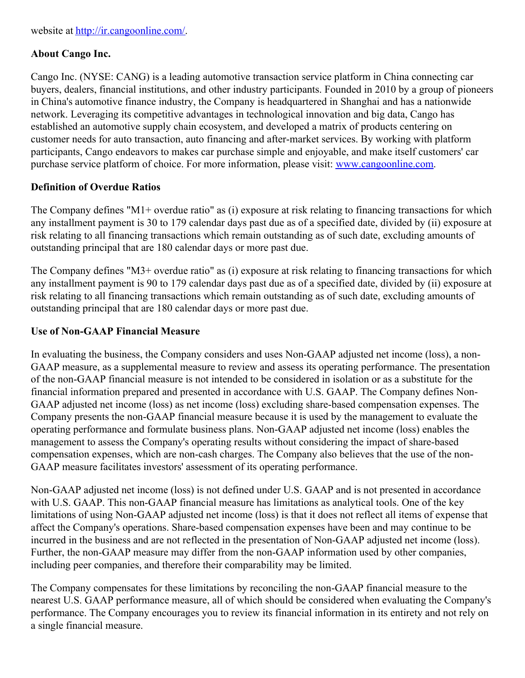website at <http://ir.cangoonline.com/>.

# **About Cango Inc.**

Cango Inc. (NYSE: CANG) is a leading automotive transaction service platform in China connecting car buyers, dealers, financial institutions, and other industry participants. Founded in 2010 by a group of pioneers in China's automotive finance industry, the Company is headquartered in Shanghai and has a nationwide network. Leveraging its competitive advantages in technological innovation and big data, Cango has established an automotive supply chain ecosystem, and developed a matrix of products centering on customer needs for auto transaction, auto financing and after-market services. By working with platform participants, Cango endeavors to makes car purchase simple and enjoyable, and make itself customers' car purchase service platform of choice. For more information, please visit: [www.cangoonline.com](http://www.cangoonline.com/).

#### **Definition of Overdue Ratios**

The Company defines "M1+ overdue ratio" as (i) exposure at risk relating to financing transactions for which any installment payment is 30 to 179 calendar days past due as of a specified date, divided by (ii) exposure at risk relating to all financing transactions which remain outstanding as of such date, excluding amounts of outstanding principal that are 180 calendar days or more past due.

The Company defines "M3+ overdue ratio" as (i) exposure at risk relating to financing transactions for which any installment payment is 90 to 179 calendar days past due as of a specified date, divided by (ii) exposure at risk relating to all financing transactions which remain outstanding as of such date, excluding amounts of outstanding principal that are 180 calendar days or more past due.

#### **Use of Non-GAAP Financial Measure**

In evaluating the business, the Company considers and uses Non-GAAP adjusted net income (loss), a non-GAAP measure, as a supplemental measure to review and assess its operating performance. The presentation of the non-GAAP financial measure is not intended to be considered in isolation or as a substitute for the financial information prepared and presented in accordance with U.S. GAAP. The Company defines Non-GAAP adjusted net income (loss) as net income (loss) excluding share-based compensation expenses. The Company presents the non-GAAP financial measure because it is used by the management to evaluate the operating performance and formulate business plans. Non-GAAP adjusted net income (loss) enables the management to assess the Company's operating results without considering the impact of share-based compensation expenses, which are non-cash charges. The Company also believes that the use of the non-GAAP measure facilitates investors' assessment of its operating performance.

Non-GAAP adjusted net income (loss) is not defined under U.S. GAAP and is not presented in accordance with U.S. GAAP. This non-GAAP financial measure has limitations as analytical tools. One of the key limitations of using Non-GAAP adjusted net income (loss) is that it does not reflect all items of expense that affect the Company's operations. Share-based compensation expenses have been and may continue to be incurred in the business and are not reflected in the presentation of Non-GAAP adjusted net income (loss). Further, the non-GAAP measure may differ from the non-GAAP information used by other companies, including peer companies, and therefore their comparability may be limited.

The Company compensates for these limitations by reconciling the non-GAAP financial measure to the nearest U.S. GAAP performance measure, all of which should be considered when evaluating the Company's performance. The Company encourages you to review its financial information in its entirety and not rely on a single financial measure.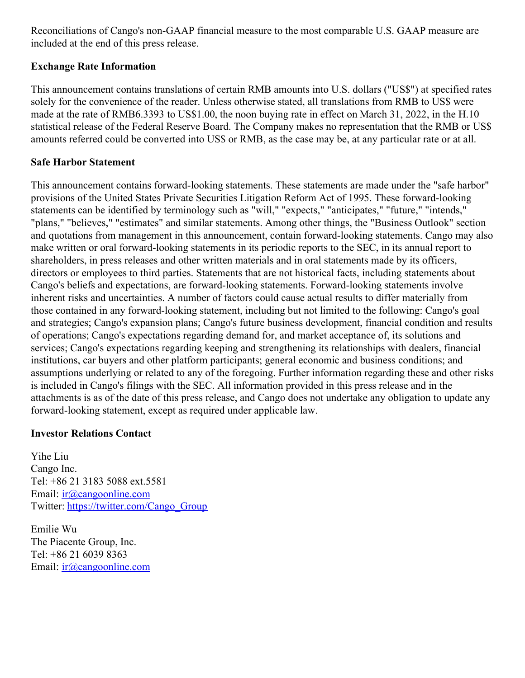Reconciliations of Cango's non-GAAP financial measure to the most comparable U.S. GAAP measure are included at the end of this press release.

# **Exchange Rate Information**

This announcement contains translations of certain RMB amounts into U.S. dollars ("US\$") at specified rates solely for the convenience of the reader. Unless otherwise stated, all translations from RMB to US\$ were made at the rate of RMB6.3393 to US\$1.00, the noon buying rate in effect on March 31, 2022, in the H.10 statistical release of the Federal Reserve Board. The Company makes no representation that the RMB or US\$ amounts referred could be converted into US\$ or RMB, as the case may be, at any particular rate or at all.

### **Safe Harbor Statement**

This announcement contains forward-looking statements. These statements are made under the "safe harbor" provisions of the United States Private Securities Litigation Reform Act of 1995. These forward-looking statements can be identified by terminology such as "will," "expects," "anticipates," "future," "intends," "plans," "believes," "estimates" and similar statements. Among other things, the "Business Outlook" section and quotations from management in this announcement, contain forward-looking statements. Cango may also make written or oral forward-looking statements in its periodic reports to the SEC, in its annual report to shareholders, in press releases and other written materials and in oral statements made by its officers, directors or employees to third parties. Statements that are not historical facts, including statements about Cango's beliefs and expectations, are forward-looking statements. Forward-looking statements involve inherent risks and uncertainties. A number of factors could cause actual results to differ materially from those contained in any forward-looking statement, including but not limited to the following: Cango's goal and strategies; Cango's expansion plans; Cango's future business development, financial condition and results of operations; Cango's expectations regarding demand for, and market acceptance of, its solutions and services; Cango's expectations regarding keeping and strengthening its relationships with dealers, financial institutions, car buyers and other platform participants; general economic and business conditions; and assumptions underlying or related to any of the foregoing. Further information regarding these and other risks is included in Cango's filings with the SEC. All information provided in this press release and in the attachments is as of the date of this press release, and Cango does not undertake any obligation to update any forward-looking statement, except as required under applicable law.

# **Investor Relations Contact**

Yihe Liu Cango Inc. Tel: +86 21 3183 5088 ext.5581 Email:  $ir(\omega)$ cangoonline.com Twitter: [https://twitter.com/Cango\\_Group](https://twitter.com/Cango_Group)

Emilie Wu The Piacente Group, Inc. Tel: +86 21 6039 8363 Email: [ir@cangoonline.com](mailto:ir@cangoonline.com)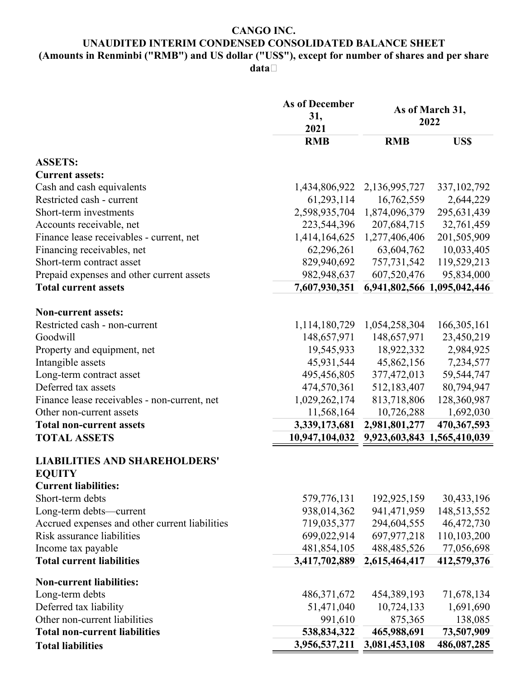#### **CANGO INC.**

# **UNAUDITED INTERIM CONDENSED CONSOLIDATED BALANCE SHEET**

**(Amounts in Renminbi ("RMB") and US dollar ("US\$"), except for number of shares and per share**

**data**

|                                                | <b>As of December</b> | As of March 31, |                             |  |
|------------------------------------------------|-----------------------|-----------------|-----------------------------|--|
|                                                | 31,<br>2021           | 2022            |                             |  |
|                                                | <b>RMB</b>            | <b>RMB</b>      | US\$                        |  |
| <b>ASSETS:</b>                                 |                       |                 |                             |  |
| <b>Current assets:</b>                         |                       |                 |                             |  |
| Cash and cash equivalents                      | 1,434,806,922         | 2,136,995,727   | 337, 102, 792               |  |
| Restricted cash - current                      | 61,293,114            | 16,762,559      | 2,644,229                   |  |
| Short-term investments                         | 2,598,935,704         | 1,874,096,379   | 295,631,439                 |  |
| Accounts receivable, net                       | 223,544,396           | 207,684,715     | 32,761,459                  |  |
| Finance lease receivables - current, net       | 1,414,164,625         | 1,277,406,406   | 201,505,909                 |  |
| Financing receivables, net                     | 62,296,261            | 63,604,762      | 10,033,405                  |  |
| Short-term contract asset                      | 829,940,692           | 757, 731, 542   | 119,529,213                 |  |
| Prepaid expenses and other current assets      | 982,948,637           | 607,520,476     | 95,834,000                  |  |
| <b>Total current assets</b>                    | 7,607,930,351         |                 | 6,941,802,566 1,095,042,446 |  |
| <b>Non-current assets:</b>                     |                       |                 |                             |  |
| Restricted cash - non-current                  | 1,114,180,729         | 1,054,258,304   | 166, 305, 161               |  |
| Goodwill                                       | 148,657,971           | 148,657,971     | 23,450,219                  |  |
| Property and equipment, net                    | 19,545,933            | 18,922,332      | 2,984,925                   |  |
| Intangible assets                              | 45,931,544            | 45,862,156      | 7,234,577                   |  |
| Long-term contract asset                       | 495,456,805           | 377,472,013     | 59,544,747                  |  |
| Deferred tax assets                            | 474,570,361           | 512,183,407     | 80,794,947                  |  |
| Finance lease receivables - non-current, net   | 1,029,262,174         | 813,718,806     | 128,360,987                 |  |
| Other non-current assets                       | 11,568,164            | 10,726,288      | 1,692,030                   |  |
| <b>Total non-current assets</b>                | 3,339,173,681         | 2,981,801,277   | 470, 367, 593               |  |
| <b>TOTAL ASSETS</b>                            | 10,947,104,032        |                 | 9,923,603,843 1,565,410,039 |  |
| <b>LIABILITIES AND SHAREHOLDERS'</b>           |                       |                 |                             |  |
| <b>EQUITY</b>                                  |                       |                 |                             |  |
| <b>Current liabilities:</b>                    |                       |                 |                             |  |
| Short-term debts                               | 579,776,131           | 192,925,159     | 30,433,196                  |  |
| Long-term debts-current                        | 938,014,362           | 941, 471, 959   | 148,513,552                 |  |
| Accrued expenses and other current liabilities | 719,035,377           | 294,604,555     | 46,472,730                  |  |
| Risk assurance liabilities                     | 699,022,914           | 697, 977, 218   | 110,103,200                 |  |
| Income tax payable                             | 481,854,105           | 488, 485, 526   | 77,056,698                  |  |
| <b>Total current liabilities</b>               | 3,417,702,889         | 2,615,464,417   | 412,579,376                 |  |
| <b>Non-current liabilities:</b>                |                       |                 |                             |  |
| Long-term debts                                | 486, 371, 672         | 454,389,193     | 71,678,134                  |  |
| Deferred tax liability                         | 51,471,040            | 10,724,133      | 1,691,690                   |  |
| Other non-current liabilities                  | 991,610               | 875,365         | 138,085                     |  |
| <b>Total non-current liabilities</b>           | 538,834,322           | 465,988,691     | 73,507,909                  |  |
| <b>Total liabilities</b>                       | 3,956,537,211         | 3,081,453,108   | 486,087,285                 |  |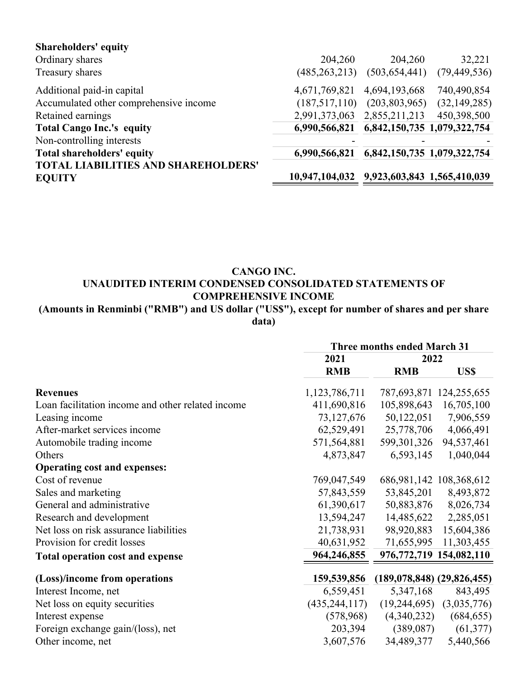| <b>Shareholders' equity</b>                |                                            |                             |                             |
|--------------------------------------------|--------------------------------------------|-----------------------------|-----------------------------|
| Ordinary shares                            | 204,260                                    | 204,260                     | 32,221                      |
| Treasury shares                            | (485, 263, 213)                            | (503, 654, 441)             | (79, 449, 536)              |
| Additional paid-in capital                 | 4,671,769,821                              | 4,694,193,668               | 740,490,854                 |
| Accumulated other comprehensive income     | (187,517,110)                              | (203, 803, 965)             | (32, 149, 285)              |
| Retained earnings                          | 2,991,373,063                              | 2,855,211,213               | 450,398,500                 |
| <b>Total Cango Inc.'s equity</b>           | 6,990,566,821                              |                             | 6,842,150,735 1,079,322,754 |
| Non-controlling interests                  |                                            |                             |                             |
| Total shareholders' equity                 | 6,990,566,821                              | 6,842,150,735 1,079,322,754 |                             |
| <b>TOTAL LIABILITIES AND SHAREHOLDERS'</b> |                                            |                             |                             |
| <b>EQUITY</b>                              | 10,947,104,032 9,923,603,843 1,565,410,039 |                             |                             |
|                                            |                                            |                             |                             |

#### **CANGO INC. UNAUDITED INTERIM CONDENSED CONSOLIDATED STATEMENTS OF COMPREHENSIVE INCOME**

# **(Amounts in Renminbi ("RMB") and US dollar ("US\$"), except for number of shares and per share data)**

|                                                   | <b>Three months ended March 31</b> |                                |                             |
|---------------------------------------------------|------------------------------------|--------------------------------|-----------------------------|
|                                                   | 2021                               | 2022                           |                             |
|                                                   | <b>RMB</b>                         | <b>RMB</b>                     | US\$                        |
| <b>Revenues</b>                                   | 1,123,786,711                      |                                | 787,693,871 124,255,655     |
| Loan facilitation income and other related income | 411,690,816                        | 105,898,643                    | 16,705,100                  |
| Leasing income                                    | 73, 127, 676                       | 50,122,051                     | 7,906,559                   |
| After-market services income                      | 62,529,491                         | 25,778,706                     | 4,066,491                   |
| Automobile trading income                         | 571,564,881                        | 599,301,326                    | 94,537,461                  |
| Others                                            | 4,873,847                          | 6,593,145                      | 1,040,044                   |
| Operating cost and expenses:                      |                                    |                                |                             |
| Cost of revenue                                   | 769,047,549                        |                                | 686, 981, 142 108, 368, 612 |
| Sales and marketing                               | 57,843,559                         | 53,845,201                     | 8,493,872                   |
| General and administrative                        | 61,390,617                         | 50,883,876                     | 8,026,734                   |
| Research and development                          | 13,594,247                         | 14,485,622                     | 2,285,051                   |
| Net loss on risk assurance liabilities            | 21,738,931                         | 98,920,883                     | 15,604,386                  |
| Provision for credit losses                       | 40,631,952                         | 71,655,995                     | 11,303,455                  |
| <b>Total operation cost and expense</b>           | 964,246,855                        |                                | 976,772,719 154,082,110     |
| (Loss)/income from operations                     | 159,539,856                        | $(189,078,848)$ $(29,826,455)$ |                             |
| Interest Income, net                              | 6,559,451                          | 5,347,168                      | 843,495                     |
| Net loss on equity securities                     | (435, 244, 117)                    | (19,244,695)                   | (3,035,776)                 |
| Interest expense                                  | (578,968)                          | (4,340,232)                    | (684, 655)                  |
| Foreign exchange gain/(loss), net                 | 203,394                            | (389,087)                      | (61, 377)                   |
| Other income, net                                 | 3,607,576                          | 34,489,377                     | 5,440,566                   |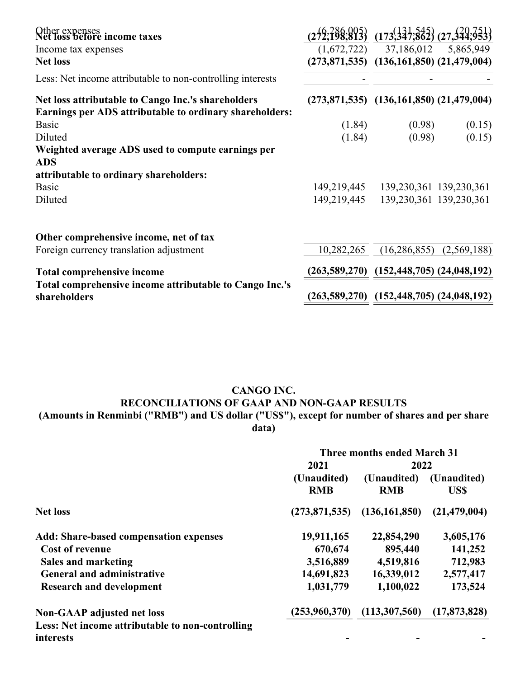| Other expenses<br>Net loss before income taxes                          |               | (173,347,862)                                  | (27,344,953) |
|-------------------------------------------------------------------------|---------------|------------------------------------------------|--------------|
| Income tax expenses                                                     | (1,672,722)   | 37,186,012                                     | 5,865,949    |
| <b>Net loss</b>                                                         |               | $(273,871,535)$ $(136,161,850)$ $(21,479,004)$ |              |
| Less: Net income attributable to non-controlling interests              |               |                                                |              |
| Net loss attributable to Cango Inc.'s shareholders                      | (273,871,535) | $(136, 161, 850)$ $(21, 479, 004)$             |              |
| Earnings per ADS attributable to ordinary shareholders:                 |               |                                                |              |
| <b>Basic</b>                                                            | (1.84)        | (0.98)                                         | (0.15)       |
| Diluted                                                                 | (1.84)        | (0.98)                                         | (0.15)       |
| Weighted average ADS used to compute earnings per                       |               |                                                |              |
| <b>ADS</b>                                                              |               |                                                |              |
| attributable to ordinary shareholders:                                  |               |                                                |              |
| <b>Basic</b>                                                            | 149,219,445   | 139,230,361 139,230,361                        |              |
| Diluted                                                                 | 149,219,445   | 139,230,361 139,230,361                        |              |
|                                                                         |               |                                                |              |
| Other comprehensive income, net of tax                                  |               |                                                |              |
| Foreign currency translation adjustment                                 | 10,282,265    | (16, 286, 855)                                 | (2,569,188)  |
| <b>Total comprehensive income</b>                                       |               | $(263,589,270)$ $(152,448,705)$ $(24,048,192)$ |              |
| Total comprehensive income attributable to Cango Inc.'s<br>shareholders |               | $(263,589,270)$ $(152,448,705)$ $(24,048,192)$ |              |

### **CANGO INC.**

# **RECONCILIATIONS OF GAAP AND NON-GAAP RESULTS**

# **(Amounts in Renminbi ("RMB") and US dollar ("US\$"), except for number of shares and per share data)**

|                                                                      | <b>Three months ended March 31</b> |                           |                     |
|----------------------------------------------------------------------|------------------------------------|---------------------------|---------------------|
|                                                                      | 2021                               | 2022                      |                     |
|                                                                      | (Unaudited)<br><b>RMB</b>          | (Unaudited)<br><b>RMB</b> | (Unaudited)<br>US\$ |
| <b>Net loss</b>                                                      | (273,871,535)                      | (136, 161, 850)           | (21, 479, 004)      |
| <b>Add: Share-based compensation expenses</b>                        | 19,911,165                         | 22,854,290                | 3,605,176           |
| <b>Cost of revenue</b>                                               | 670,674                            | 895,440                   | 141,252             |
| Sales and marketing                                                  | 3,516,889                          | 4,519,816                 | 712,983             |
| <b>General and administrative</b>                                    | 14,691,823                         | 16,339,012                | 2,577,417           |
| <b>Research and development</b>                                      | 1,031,779                          | 1,100,022                 | 173,524             |
| <b>Non-GAAP</b> adjusted net loss                                    | (253,960,370)                      | (113,307,560)             | (17, 873, 828)      |
| Less: Net income attributable to non-controlling<br><b>interests</b> |                                    |                           |                     |